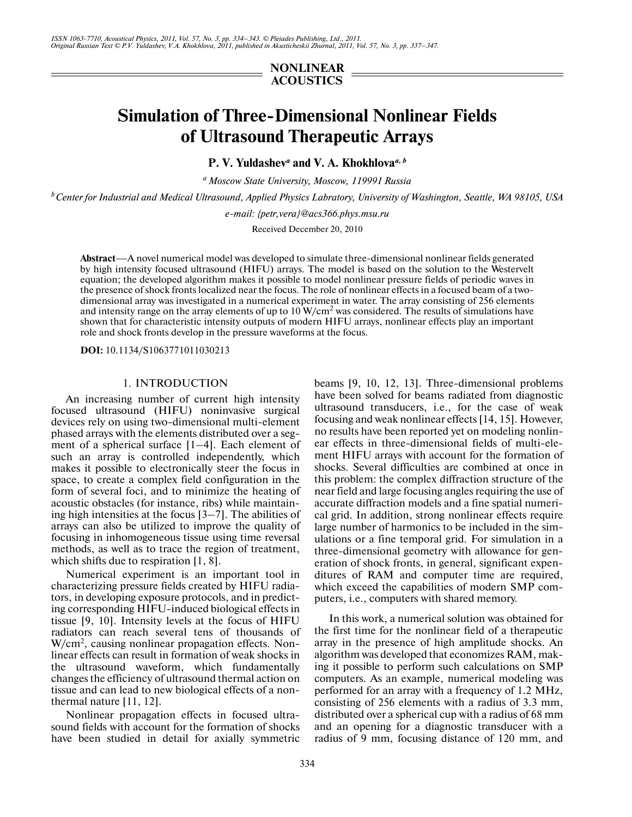# **NONLINEAR ACOUSTICS**

# **Simulation of Three-Dimensional Nonlinear Fields of Ultrasound Therapeutic Arrays**

**P. V. Yuldashev***<sup>a</sup>*  **and V. A. Khokhlova***a, b*

*a Moscow State University, Moscow, 119991 Russia*

*b Center for Industrial and Medical Ultrasound, Applied Physics Labratory, University of Washington, Seattle, WA 98105, USA*

*e-mail: {petr,vera}@acs366.phys.msu.ru*

Received December 20, 2010

**Abstract**—A novel numerical model was developed to simulate three-dimensional nonlinear fields generated by high intensity focused ultrasound (HIFU) arrays. The model is based on the solution to the Westervelt equation; the developed algorithm makes it possible to model nonlinear pressure fields of periodic waves in the presence of shock fronts localized near the focus. The role of nonlinear effects in a focused beam of a two dimensional array was investigated in a numerical experiment in water. The array consisting of 256 elements and intensity range on the array elements of up to  $10 \text{ W/cm}^2$  was considered. The results of simulations have shown that for characteristic intensity outputs of modern HIFU arrays, nonlinear effects play an important role and shock fronts develop in the pressure waveforms at the focus.

**DOI:** 10.1134/S1063771011030213

# 1. INTRODUCTION

An increasing number of current high intensity focused ultrasound (HIFU) noninvasive surgical devices rely on using two-dimensional multi-element phased arrays with the elements distributed over a seg ment of a spherical surface [1–4]. Each element of such an array is controlled independently, which makes it possible to electronically steer the focus in space, to create a complex field configuration in the form of several foci, and to minimize the heating of acoustic obstacles (for instance, ribs) while maintain ing high intensities at the focus [3–7]. The abilities of arrays can also be utilized to improve the quality of focusing in inhomogeneous tissue using time reversal methods, as well as to trace the region of treatment, which shifts due to respiration [1, 8].

Numerical experiment is an important tool in characterizing pressure fields created by HIFU radia tors, in developing exposure protocols, and in predict ing corresponding HIFU-induced biological effects in tissue [9, 10]. Intensity levels at the focus of HIFU radiators can reach several tens of thousands of W/cm<sup>2</sup>, causing nonlinear propagation effects. Nonlinear effects can result in formation of weak shocks in the ultrasound waveform, which fundamentally changes the efficiency of ultrasound thermal action on tissue and can lead to new biological effects of a non thermal nature [11, 12].

Nonlinear propagation effects in focused ultra sound fields with account for the formation of shocks have been studied in detail for axially symmetric

beams [9, 10, 12, 13]. Three-dimensional problems have been solved for beams radiated from diagnostic ultrasound transducers, i.e., for the case of weak focusing and weak nonlinear effects [14, 15]. However, no results have been reported yet on modeling nonlin ear effects in three-dimensional fields of multi-ele ment HIFU arrays with account for the formation of shocks. Several difficulties are combined at once in this problem: the complex diffraction structure of the near field and large focusing angles requiring the use of accurate diffraction models and a fine spatial numeri cal grid. In addition, strong nonlinear effects require large number of harmonics to be included in the sim ulations or a fine temporal grid. For simulation in a three-dimensional geometry with allowance for gen eration of shock fronts, in general, significant expen ditures of RAM and computer time are required, which exceed the capabilities of modern SMP com puters, i.e., computers with shared memory.

In this work, a numerical solution was obtained for the first time for the nonlinear field of a therapeutic array in the presence of high amplitude shocks. An algorithm was developed that economizes RAM, mak ing it possible to perform such calculations on SMP computers. As an example, numerical modeling was performed for an array with a frequency of 1.2 MHz, consisting of 256 elements with a radius of 3.3 mm, distributed over a spherical cup with a radius of 68 mm and an opening for a diagnostic transducer with a radius of 9 mm, focusing distance of 120 mm, and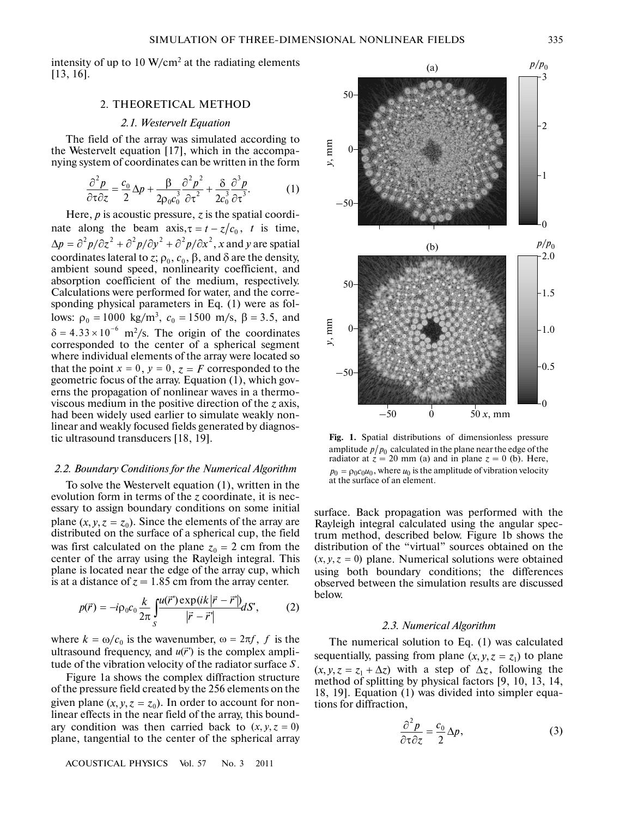intensity of up to  $10 \text{ W/cm}^2$  at the radiating elements [13, 16].

# 2. THEORETICAL METHOD

## *2.1. Westervelt Equation*

The field of the array was simulated according to the Westervelt equation [17], which in the accompa nying system of coordinates can be written in the form

$$
\frac{\partial^2 p}{\partial \tau \partial z} = \frac{c_0}{2} \Delta p + \frac{\beta}{2 \rho_0 c_0^3} \frac{\partial^2 p^2}{\partial \tau^2} + \frac{\delta}{2 c_0^3} \frac{\partial^3 p}{\partial \tau^3}.
$$
 (1)

Here,  $p$  is acoustic pressure,  $z$  is the spatial coordinate along the beam  $axis, \tau = t - z/c_0$ , *t* is time,  $\Delta p=\partial^2 p/\partial z^2+\partial^2 p/\partial y^2+\partial^2 p/\partial x^2,$  *x* and *y* are spatial coordinates lateral to *z*;  $\rho_0$ ,  $c_0$ ,  $\beta$ , and  $\delta$  are the density, ambient sound speed, nonlinearity coefficient, and absorption coefficient of the medium, respectively. Calculations were performed for water, and the corre sponding physical parameters in Eq. (1) were as fol sponding physical parameters in Eq. (1) were as io--<br>lows:  $\rho_0 = 1000 \text{ kg/m}^3$ ,  $c_0 = 1500 \text{ m/s}$ ,  $\beta = 3.5$ , and m2 /s. The origin of the coordinates corresponded to the center of a spherical segment where individual elements of the array were located so where individual elements of the array were located so<br>that the point  $x = 0$ ,  $y = 0$ ,  $z = F$  corresponded to the geometric focus of the array. Equation (1), which gov erns the propagation of nonlinear waves in a thermo viscous medium in the positive direction of the *z* axis, had been widely used earlier to simulate weakly non linear and weakly focused fields generated by diagnos tic ultrasound transducers [18, 19]. Sponding phys<br>sponding phys<br>lows:  $ρ<sub>0</sub> = 100$ <br> $δ = 4.33 × 10<sup>-6</sup>$ 

#### *2.2. Boundary Conditions for the Numerical Algorithm*

To solve the Westervelt equation (1), written in the evolution form in terms of the *z* coordinate, it is nec essary to assign boundary conditions on some initial  $\sum_{n=1}^{\infty}$  because the elements of the array are plane  $(x, y, z = z_0)$ . Since the elements of the array are distributed on the surface of a spherical cup, the field distributed on the surface of a spherical cup, the field<br>was first calculated on the plane  $z_0 = 2$  cm from the center of the array using the Rayleigh integral. This plane is located near the edge of the array cup, which is at a distance of  $z = 1.85$  cm from the array center.

$$
p(\vec{r}) = -i\rho_0 c_0 \frac{k}{2\pi} \int_S \frac{u(\vec{r}') \exp(ik|\vec{r} - \vec{r}|)}{|\vec{r} - \vec{r}'|} dS', \qquad (2)
$$

where  $k = \omega/c_0$  is the wavenumber,  $\omega = 2\pi f$ , f is the ultrasound frequency, and  $u(\vec{r})$  is the complex amplitude of the vibration velocity of the radiator surface  $S$ .

Figure 1a shows the complex diffraction structure of the pressure field created by the 256 elements on the of the pressure held created by the 256 elements on the given plane  $(x, y, z = z_0)$ . In order to account for nonlinear effects in the near field of the array, this bound are expects in the near field of the array, this bound-<br>ary condition was then carried back to  $(x, y, z = 0)$ plane, tangential to the center of the spherical array

ACOUSTICAL PHYSICS Vol. 57 No. 3 2011



**Fig. 1.** Spatial distributions of dimensionless pressure amplitude  $\left\lfloor p/p_0 \right\rfloor$  calculated in the plane near the edge of the radiator at  $z = 20$  mm (a) and in plane  $z = 0$  (b). Here,  $p_0 = p_0 c_0 u_0$ , where  $u_0$  is the amplitude of vibration velocity at the surface of an element.

surface. Back propagation was performed with the Rayleigh integral calculated using the angular spec trum method, described below. Figure 1b shows the distribution of the "virtual" sources obtained on the distribution of the "virtual" sources obtained on the  $(x, y, z = 0)$  plane. Numerical solutions were obtained using both boundary conditions; the differences observed between the simulation results are discussed below.

#### *2.3. Numerical Algorithm*

The numerical solution to Eq. (1) was calculated The numerical solution to Eq. (1) was calculated<br>sequentially, passing from plane  $(x, y, z = z_1)$  to plane sequentially, passing from plane  $(x, y, z = z_1)$  to plane  $(x, y, z = z_1 + \Delta z)$  with a step of  $\Delta z$ , following the method of splitting by physical factors [9, 10, 13, 14, 18, 19]. Equation (1) was divided into simpler equa tions for diffraction,

$$
\frac{\partial^2 p}{\partial \tau \partial z} = \frac{c_0}{2} \Delta p,\tag{3}
$$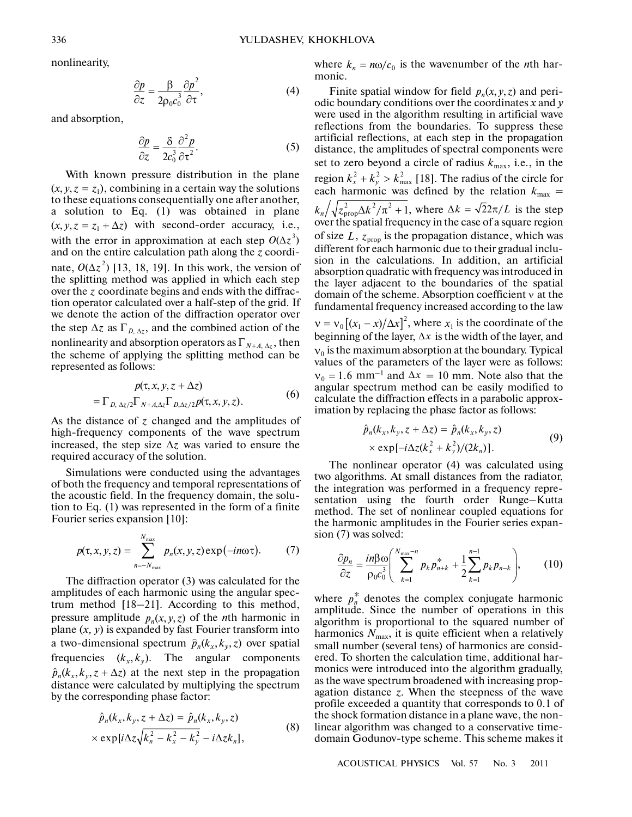nonlinearity,

$$
\frac{\partial p}{\partial z} = \frac{\beta}{2\rho_0 c_0^3} \frac{\partial p^2}{\partial \tau},\tag{4}
$$

and absorption,

$$
\frac{\partial p}{\partial z} = \frac{\delta}{2c_0^3} \frac{\partial^2 p}{\partial \tau^2}.
$$
 (5)

With known pressure distribution in the plane with known pressure distribution in the plane<br>( $x, y, z = z_1$ ), combining in a certain way the solutions to these equations consequentially one after another, a solution to Eq. (1) was obtained in plane a solution to Eq. (1) was obtained in plane<br> $(x, y, z = z_1 + \Delta z)$  with second-order accuracy, i.e., with the error in approximation at each step  $O(\Delta z^3)$ and on the entire calculation path along the *z* coordi nate,  $O(\Delta z^2)$  [13, 18, 19]. In this work, the version of the splitting method was applied in which each step over the z coordinate begins and ends with the diffraction operator calculated over a half-step of the grid. If we denote the action of the diffraction operator over the step  $\Delta z$  as  $\Gamma_{D, \Delta z}$ , and the combined action of the nonlinearity and absorption operators as  $\Gamma_{N+A, \Delta z}$ , then the scheme of applying the splitting method can be represented as follows:

$$
p(\tau, x, y, z + \Delta z)
$$
  
=  $\Gamma_{D, \Delta z/2} \Gamma_{N+A, \Delta z} \Gamma_{D, \Delta z/2} p(\tau, x, y, z).$  (6)

As the distance of  $z$  changed and the amplitudes of high-frequency components of the wave spectrum increased, the step size  $\Delta z$  was varied to ensure the required accuracy of the solution.

Simulations were conducted using the advantages of both the frequency and temporal representations of the acoustic field. In the frequency domain, the solu tion to Eq. (1) was represented in the form of a finite Fourier series expansion [10]:

$$
p(\tau, x, y, z) = \sum_{n=-N_{\text{max}}}^{N_{\text{max}}} p_n(x, y, z) \exp(-in\omega \tau). \tag{7}
$$

The diffraction operator (3) was calculated for the amplitudes of each harmonic using the angular spec trum method [18–21]. According to this method, pressure amplitude  $p_n(x, y, z)$  of the *n*th harmonic in plane  $(x, y)$  is expanded by fast Fourier transform into a two-dimensional spectrum  $\hat{p}_n(k_x, k_y, z)$  over spatial frequencies  $(k_x, k_y)$ . The angular components  $\hat{p}_n(k_x, k_y, z + \Delta z)$  at the next step in the propagation distance were calculated by multiplying the spectrum by the corresponding phase factor:

$$
\hat{p}_n(k_x, k_y, z + \Delta z) = \hat{p}_n(k_x, k_y, z)
$$
  
× exp[i $\Delta z \sqrt{k_n^2 - k_x^2 - k_y^2} - i\Delta z k_n$ ], (8)

where  $k_n = n\omega/c_0$  is the wavenumber of the *n*th harmonic.

Finite spatial window for field  $p_n(x, y, z)$  and periodic boundary conditions over the coordinates *x* and *y* were used in the algorithm resulting in artificial wave reflections from the boundaries. To suppress these artificial reflections, at each step in the propagation distance, the amplitudes of spectral components were set to zero beyond a circle of radius  $k_{\text{max}}$ , i.e., in the region  $k_x^2 + k_y^2 > k_{\text{max}}^2$  [18]. The radius of the circle for each harmonic was defined by the relation  $k_{\text{max}} =$ , where  $\Delta k = \sqrt{22\pi/L}$  is the step over the spatial frequency in the case of a square region of size  $L$ ,  $z_{\text{prop}}$  is the propagation distance, which was different for each harmonic due to their gradual inclu sion in the calculations. In addition, an artificial absorption quadratic with frequency was introduced in the layer adjacent to the boundaries of the spatial domain of the scheme. Absorption coefficient v at the fundamental frequency increased according to the law  $v = v_0 [(x_1 - x)/\Delta x]^2$ , where  $x_1$  is the coordinate of the beginning of the layer,  $\Delta x$  is the width of the layer, and  $v_0$  is the maximum absorption at the boundary. Typical values of the parameters of the layer were as follows:  $v_0 = 1.6$  mm<sup>-1</sup> and  $\Delta x = 10$  mm. Note also that the angular spectrum method can be easily modified to calculate the diffraction effects in a parabolic approx imation by replacing the phase factor as follows:  $k_x^2 + k_y^2 > k_{\text{max}}^2$  $k_n / \sqrt{z_{\text{prop}}^2 \Delta k^2 / \pi^2 + 1}$ , where  $\Delta k = \sqrt{2} 2\pi / L$ 

$$
\hat{p}_n(k_x, k_y, z + \Delta z) = \hat{p}_n(k_x, k_y, z)
$$
  
× exp[- $i\Delta z (k_x^2 + k_y^2)/(2k_n)$ ]. (9)

The nonlinear operator (4) was calculated using two algorithms. At small distances from the radiator, the integration was performed in a frequency representation using the fourth order Runge–Kutta the integration was performed in a frequency repre method. The set of nonlinear coupled equations for the harmonic amplitudes in the Fourier series expan sion (7) was solved:

$$
\frac{\partial p_n}{\partial z} = \frac{i n \beta \omega}{\rho_0 c_0^3} \left( \sum_{k=1}^{N_{\text{max}}-n} p_k p_{n+k}^* + \frac{1}{2} \sum_{k=1}^{n-1} p_k p_{n-k} \right), \quad (10)
$$

where  $p_n^*$  denotes the complex conjugate harmonic amplitude. Since the number of operations in this algorithm is proportional to the squared number of harmonics  $N_{\text{max}}$ , it is quite efficient when a relatively small number (several tens) of harmonics are consid ered. To shorten the calculation time, additional har monics were introduced into the algorithm gradually, as the wave spectrum broadened with increasing prop agation distance *z*. When the steepness of the wave profile exceeded a quantity that corresponds to 0.1 of the shock formation distance in a plane wave, the non linear algorithm was changed to a conservative time domain Godunov-type scheme. This scheme makes it

ACOUSTICAL PHYSICS Vol. 57 No. 3 2011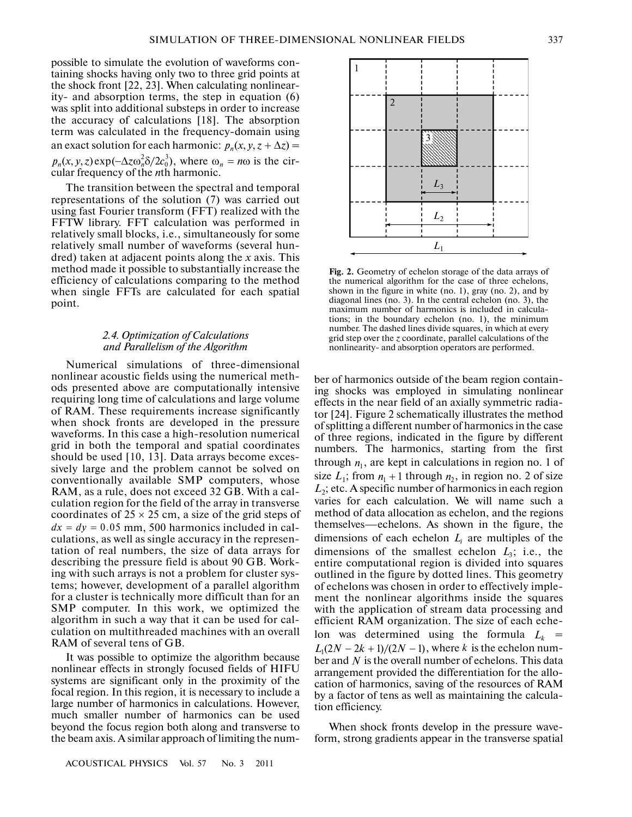possible to simulate the evolution of waveforms con taining shocks having only two to three grid points at the shock front [22, 23]. When calculating nonlinear ity- and absorption terms, the step in equation (6) was split into additional substeps in order to increase the accuracy of calculations [18]. The absorption term was calculated in the frequency-domain using an exact solution for each harmonic:  $p_n(x, y, z + \Delta z) =$  $p_n(x, y, z) \exp(-\Delta z \omega_n^2 \delta / 2c_0^3)$ , where  $\omega_n = n\omega$  is the cir-<br>cular frequency of the *n*th harmonic.  $\alpha$  3  $\alpha$  3  $\alpha$  3  $\alpha$  3  $\alpha$  3  $\alpha$  3  $\alpha$  3  $\alpha$  3  $\alpha$  3  $\alpha$  3  $\alpha$  1  $\alpha$  3  $\alpha$  3  $\alpha$  1  $\alpha$  accuracy of calculations [18]. The  $\alpha$  is term was calculated in the frequency-dor an exact solution for each harmoni

The transition between the spectral and temporal representations of the solution (7) was carried out using fast Fourier transform (FFT) realized with the FFTW library. FFT calculation was performed in relatively small blocks, i.e., simultaneously for some relatively small number of waveforms (several hun dred) taken at adjacent points along the *x* axis. This method made it possible to substantially increase the efficiency of calculations comparing to the method when single FFTs are calculated for each spatial point.

# *2.4. Optimization of Calculations and Parallelism of the Algorithm*

Numerical simulations of three-dimensional nonlinear acoustic fields using the numerical meth ods presented above are computationally intensive requiring long time of calculations and large volume of RAM. These requirements increase significantly when shock fronts are developed in the pressure waveforms. In this case a high-resolution numerical grid in both the temporal and spatial coordinates should be used [10, 13]. Data arrays become exces sively large and the problem cannot be solved on conventionally available SMP computers, whose RAM, as a rule, does not exceed 32 GB. With a cal culation region for the field of the array in transverse coordinates of  $25 \times 25$  cm, a size of the grid steps of coordinates of  $25 \times 25$  cm, a size of the grid steps of  $dx = dy = 0.05$  mm, 500 harmonics included in calculations, as well as single accuracy in the represen tation of real numbers, the size of data arrays for describing the pressure field is about 90 GB. Work ing with such arrays is not a problem for cluster sys tems; however, development of a parallel algorithm for a cluster is technically more difficult than for an SMP computer. In this work, we optimized the algorithm in such a way that it can be used for cal culation on multithreaded machines with an overall RAM of several tens of GB.

It was possible to optimize the algorithm because nonlinear effects in strongly focused fields of HIFU systems are significant only in the proximity of the focal region. In this region, it is necessary to include a large number of harmonics in calculations. However, much smaller number of harmonics can be used beyond the focus region both along and transverse to the beam axis. A similar approach of limiting the num-



**Fig. 2.** Geometry of echelon storage of the data arrays of the numerical algorithm for the case of three echelons, shown in the figure in white (no. 1), gray (no. 2), and by diagonal lines (no. 3). In the central echelon (no. 3), the maximum number of harmonics is included in calcula tions; in the boundary echelon (no. 1), the minimum number. The dashed lines divide squares, in which at every grid step over the *z* coordinate, parallel calculations of the nonlinearity- and absorption operators are performed.

ber of harmonics outside of the beam region contain ing shocks was employed in simulating nonlinear effects in the near field of an axially symmetric radia tor [24]. Figure 2 schematically illustrates the method of splitting a different number of harmonics in the case of three regions, indicated in the figure by different numbers. The harmonics, starting from the first through  $n_1$ , are kept in calculations in region no. 1 of size  $L_1$ ; from  $n_1 + 1$  through  $n_2$ , in region no. 2 of size *L*2; etc. A specific number of harmonics in each region varies for each calculation. We will name such a method of data allocation as echelon, and the regions themselves—echelons. As shown in the figure, the dimensions of each echelon  $L_i$  are multiples of the dimensions of the smallest echelon  $L_3$ ; i.e., the entire computational region is divided into squares outlined in the figure by dotted lines. This geometry of echelons was chosen in order to effectively imple ment the nonlinear algorithms inside the squares with the application of stream data processing and efficient RAM organization. The size of each eche lon was determined using the formula  $L_k =$ , where  $k$  is the echelon number and N is the overall number of echelons. This data arrangement provided the differentiation for the allo cation of harmonics, saving of the resources of RAM by a factor of tens as well as maintaining the calcula tion efficiency.  $n_1 + 1$  *through*  $n_2$ of echerons was chosen in order<br>
ment the nonlinear algorithms<br>
with the application of stream<br>
efficient RAM organization. Th<br>
lon was determined using t<br>  $L_1(2N - 2k + 1)/(2N - 1)$ , where k

When shock fronts develop in the pressure wave form, strong gradients appear in the transverse spatial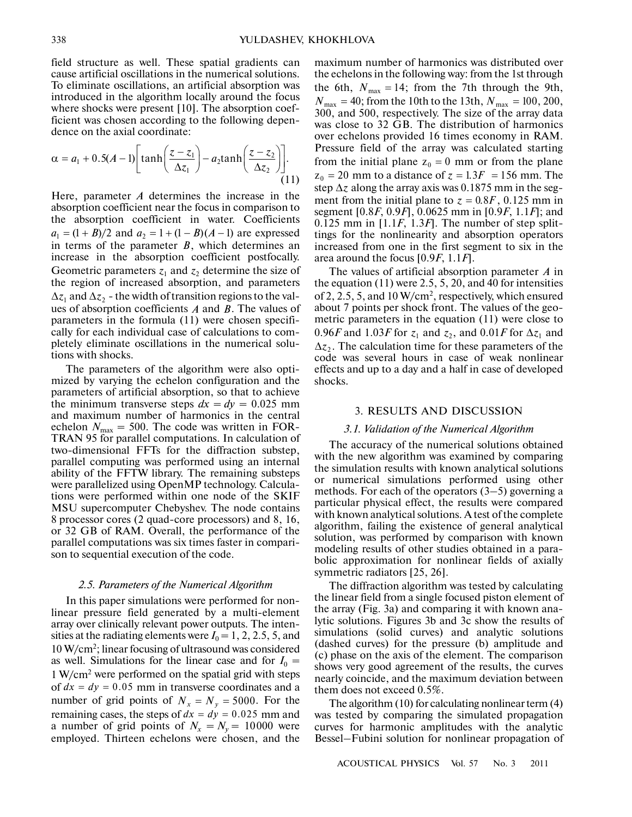field structure as well. These spatial gradients can cause artificial oscillations in the numerical solutions. To eliminate oscillations, an artificial absorption was introduced in the algorithm locally around the focus where shocks were present [10]. The absorption coef ficient was chosen according to the following depen dence on the axial coordinate:

$$
\alpha = a_1 + 0.5(A-1) \left[ \tanh\left(\frac{z-z_1}{\Delta z_1}\right) - a_2 \tanh\left(\frac{z-z_2}{\Delta z_2}\right) \right].
$$
\n(11)

Here, parameter *A* determines the increase in the absorption coefficient near the focus in comparison to the absorption coefficient in water. Coefficients  $a_1 = (1 + B)/2$  and  $a_2 = 1 + (1 - B)(A - 1)$  are expressed in terms of the parameter  $B$ , which determines an increase in the absorption coefficient postfocally. Geometric parameters  $z_1$  and  $z_2$  determine the size of the region of increased absorption, and parameters  $\Delta z_1$  and  $\Delta z_2$  - the width of transition regions to the values of absorption coefficients A and B. The values of parameters in the formula (11) were chosen specifi cally for each individual case of calculations to com pletely eliminate oscillations in the numerical solu tions with shocks.

The parameters of the algorithm were also opti mized by varying the echelon configuration and the parameters of artificial absorption, so that to achieve the minimum transverse steps  $dx = dy = 0.025$  mm and maximum number of harmonics in the central echelon  $N_{\text{max}} = 500$ . The code was written in FOR-TRAN 95 for parallel computations. In calculation of two-dimensional FFTs for the diffraction substep, parallel computing was performed using an internal ability of the FFTW library. The remaining substeps were parallelized using OpenMP technology. Calcula tions were performed within one node of the SKIF MSU supercomputer Chebyshev. The node contains 8 processor cores (2 quad-core processors) and 8, 16, or 32 GB of RAM. Overall, the performance of the parallel computations was six times faster in compari son to sequential execution of the code.

### *2.5. Parameters of the Numerical Algorithm*

In this paper simulations were performed for non linear pressure field generated by a multi-element array over clinically relevant power outputs. The inten sities at the radiating elements were  $I_0 = 1, 2, 2.5, 5$ , and 10 W/cm<sup>2</sup> ; linear focusing of ultrasound was considered as well. Simulations for the linear case and for  $I_0 =$ 1 W/cm<sup>2</sup> were performed on the spatial grid with steps  $\frac{d}{dx}$  w/cm<sup>2</sup> were performed on the spatial grid with steps of  $dx = dy = 0.05$  mm in transverse coordinates and a or  $ax = ay = 0.05$  film in transverse coordinates and a number of grid points of  $N_x = N_y = 5000$ . For the mumber of grid points of  $N_x = N_y = 5000$ . For the remaining cases, the steps of  $dx = dy = 0.025$  mm and a number of grid points of  $N_x = N_y = 10000$  were employed. Thirteen echelons were chosen, and the

maximum number of harmonics was distributed over the echelons in the following way: from the 1st through the echelons in the following way: from the 1st through the 9th,  $N_{\text{max}} = 14$ ; from the 7th through the 9th,  $N_{\text{max}} = 40$ ; from the 10th to the 13th,  $N_{\text{max}} = 100, 200$ , 300, and 500, respectively. The size of the array data was close to 32 GB. The distribution of harmonics over echelons provided 16 times economy in RAM. Pressure field of the array was calculated starting Fressure field of the array was calculated starting<br>from the initial plane  $z_0 = 0$  mm or from the plane from the initial plane  $z_0 = 0$  mm or from the plane  $z_0 = 20$  mm to a distance of  $z = 1.3F = 156$  mm. The step  $\Delta z$  along the array axis was 0.1875 mm in the segstep  $\Delta z$  along the array axis was 0.1875 mm in the seg-<br>ment from the initial plane to  $z = 0.8F$ , 0.125 mm in segment [0.8*F*, 0.9*F*], 0.0625 mm in [0.9*F*, 1.1*F*]; and  $0.125$  mm in  $[1.1F, 1.3F]$ . The number of step splittings for the nonlinearity and absorption operators increased from one in the first segment to six in the area around the focus [0.9*F*, 1.1*F*].

The values of artificial absorption parameter  $A$  in the equation  $(11)$  were 2.5, 5, 20, and 40 for intensities of 2, 2.5, 5, and 10 W/cm<sup>2</sup>, respectively, which ensured about 7 points per shock front. The values of the geo metric parameters in the equation (11) were close to  $0.96F$  and  $1.03F$  for  $z_1$  and  $z_2$ , and  $0.01F$  for  $\Delta z_1$  and  $\Delta z_2$ . The calculation time for these parameters of the code was several hours in case of weak nonlinear effects and up to a day and a half in case of developed shocks.

#### 3. RESULTS AND DISCUSSION

#### *3.1. Validation of the Numerical Algorithm*

The accuracy of the numerical solutions obtained with the new algorithm was examined by comparing the simulation results with known analytical solutions or numerical simulations performed using other methods. For each of the operators (3–5) governing a particular physical effect, the results were compared with known analytical solutions. A test of the complete algorithm, failing the existence of general analytical solution, was performed by comparison with known modeling results of other studies obtained in a para bolic approximation for nonlinear fields of axially symmetric radiators [25, 26].

The diffraction algorithm was tested by calculating the linear field from a single focused piston element of the array (Fig. 3a) and comparing it with known ana lytic solutions. Figures 3b and 3c show the results of simulations (solid curves) and analytic solutions (dashed curves) for the pressure (b) amplitude and (c) phase on the axis of the element. The comparison shows very good agreement of the results, the curves nearly coincide, and the maximum deviation between them does not exceed 0.5%.

The algorithm (10) for calculating nonlinear term (4) was tested by comparing the simulated propagation curves for harmonic amplitudes with the analytic Bessel–Fubini solution for nonlinear propagation of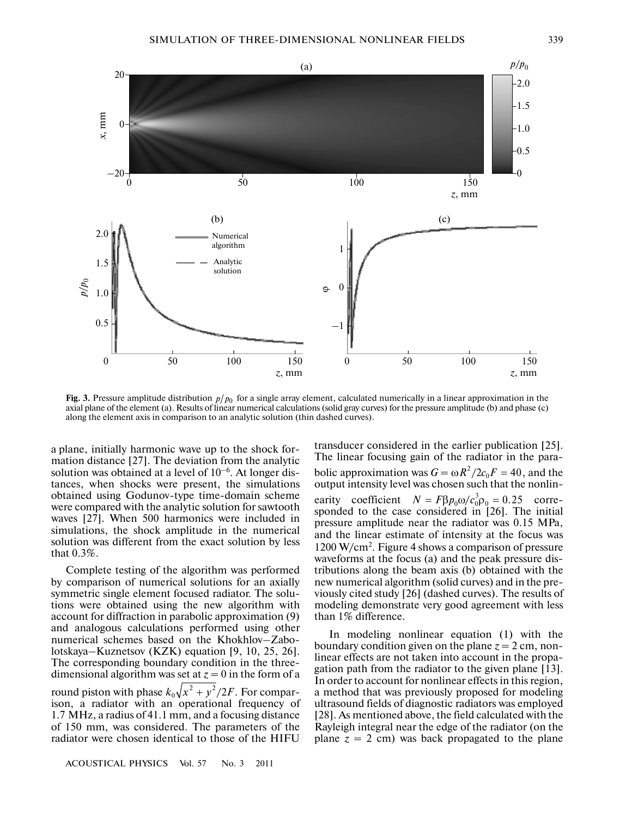

Fig. 3. Pressure amplitude distribution  $p/p_0$  for a single array element, calculated numerically in a linear approximation in the axial plane of the element (a). Results of linear numerical calculations (solid gray curves) for the pressure amplitude (b) and phase (c) along the element axis in comparison to an analytic solution (thin dashed curves).

a plane, initially harmonic wave up to the shock for mation distance [27]. The deviation from the analytic solution was obtained at a level of  $10^{-6}$ . At longer distances, when shocks were present, the simulations obtained using Godunov-type time-domain scheme were compared with the analytic solution for sawtooth waves [27]. When 500 harmonics were included in simulations, the shock amplitude in the numerical solution was different from the exact solution by less that 0.3%.

Complete testing of the algorithm was performed by comparison of numerical solutions for an axially symmetric single element focused radiator. The solu tions were obtained using the new algorithm with account for diffraction in parabolic approximation (9) and analogous calculations performed using other numerical schemes based on the Khokhlov–Zabo lotskaya–Kuznetsov (KZK) equation [9, 10, 25, 26]. The corresponding boundary condition in the three dimensional algorithm was set at  $z = 0$  in the form of a round piston with phase  $k_0\sqrt{x^2+y^2/2F}$ . For comparison, a radiator with an operational frequency of 1.7 MHz, a radius of 41.1 mm, and a focusing distance of 150 mm, was considered. The parameters of the radiator were chosen identical to those of the HIFU

ACOUSTICAL PHYSICS Vol. 57 No. 3 2011

transducer considered in the earlier publication [25]. The linear focusing gain of the radiator in the para bolic approximation was  $G = \omega R^2 / 2c_0 F = 40$ , and the output intensity level was chosen such that the nonlin earity coefficient  $N = F\beta p_0 \omega/c_0^3 \rho_0 = 0.25$  corre-<br>sponded to the case considered in [26]. The initial pressure amplitude near the radiator was 0.15 MPa, and the linear estimate of intensity at the focus was 1200 W/cm<sup>2</sup> . Figure 4 shows a comparison of pressure waveforms at the focus (a) and the peak pressure dis tributions along the beam axis (b) obtained with the new numerical algorithm (solid curves) and in the pre viously cited study [26] (dashed curves). The results of modeling demonstrate very good agreement with less than 1% difference.  $N = F\beta p_0 \omega/c_0^3 \rho_0 = 0.25$ 

In modeling nonlinear equation (1) with the boundary condition given on the plane  $z = 2$  cm, nonlinear effects are not taken into account in the propa gation path from the radiator to the given plane [13]. In order to account for nonlinear effects in this region, a method that was previously proposed for modeling ultrasound fields of diagnostic radiators was employed [28]. As mentioned above, the field calculated with the Rayleigh integral near the edge of the radiator (on the plane  $z = 2$  cm) was back propagated to the plane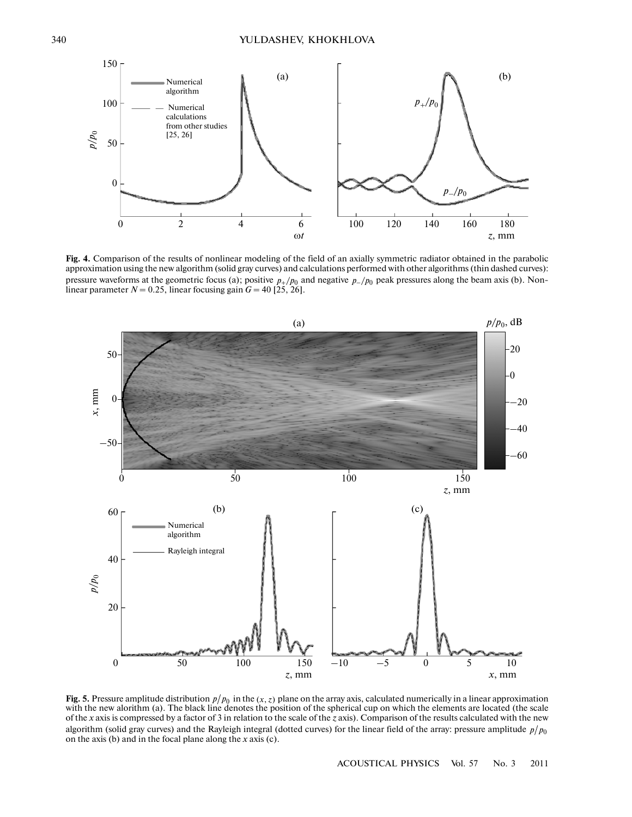

**Fig. 4.** Comparison of the results of nonlinear modeling of the field of an axially symmetric radiator obtained in the parabolic approximation using the new algorithm (solid gray curves) and calculations performed with other algorithms (thin dashed curves): pressure waveforms at the geometric focus (a); positive  $p_+/p_0$  and negative  $p_-/p_0$  peak pressures along the beam axis (b). Non-<br>linear parameter  $N = 0.25$ , linear focusing gain  $G = 40$  [25, 26].



**Fig. 5.** Pressure amplitude distribution  $p/p_0$  in the  $(x, z)$  plane on the array axis, calculated numerically in a linear approximation **Fig. 5.** Pressure amplitude distribution  $p/p_0$  in the  $(x, z)$  plane on the array axis, calculated numerically in a linear approximation with the new alorithm (a). The black line denotes the position of the spherical cup of the *x* axis is compressed by a factor of 3 in relation to the scale of the *z* axis). Comparison of the results calculated with the new algorithm (solid gray curves) and the Rayleigh integral (dotted curves) for the linear field of the array: pressure amplitude  $p/p_0$ on the axis (b) and in the focal plane along the *x* axis (c).

ACOUSTICAL PHYSICS Vol. 57 No. 3 2011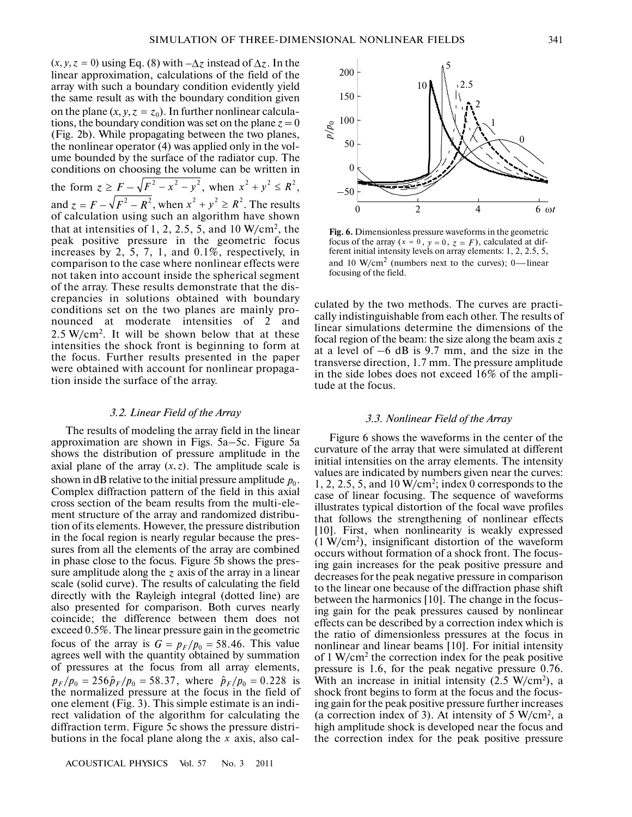SIMULATION OF THREE-DIM<br>(*x*, *y*, *z* = 0) using Eq. (8) with  $-\Delta z$  instead of  $\Delta z$ . In the linear approximation, calculations of the field of the array with such a boundary condition evidently yield the same result as with the boundary condition given the same result as with the boundary condition given<br>on the plane  $(x, y, z = z_0)$ . In further nonlinear calculations, the boundary condition was set on the plane  $z = 0$ (Fig. 2b). While propagating between the two planes, the nonlinear operator (4) was applied only in the vol ume bounded by the surface of the radiator cup. The conditions on choosing the volume can be written in the bounded by the surface of the radiator cup. The<br>conditions on choosing the volume can be written in<br>the form  $z \ge F - \sqrt{F^2 - x^2 - y^2}$ , when  $x^2 + y^2 \le R^2$ , and  $z = F - \sqrt{F^2 - R^2}$ , when  $x^2 + y^2 \ge R^2$ . The results of calculation using such an algorithm have shown that at intensities of 1, 2, 2.5, 5, and 10  $W/cm^2$ , the peak positive pressure in the geometric focus increases by 2, 5, 7, 1, and 0.1%, respectively, in comparison to the case where nonlinear effects were not taken into account inside the spherical segment of the array. These results demonstrate that the dis crepancies in solutions obtained with boundary conditions set on the two planes are mainly pro nounced at moderate intensities of 2 and 2.5 W/cm<sup>2</sup> . It will be shown below that at these intensities the shock front is beginning to form at the focus. Further results presented in the paper were obtained with account for nonlinear propaga tion inside the surface of the array. pagating between the two planes<br>pagating between the two planes<br>or (4) was applied only in the vol<br>e surface of the radiator cup. The<br>ing the volume can be written in<br> $F^2 - x^2 - y^2$ , when  $x^2 + y^2 \le R^2$  $z = F - \sqrt{F^2 - R^2}$ , when  $x^2 + y^2 \ge R^2$ 

#### *3.2. Linear Field of the Array*

The results of modeling the array field in the linear approximation are shown in Figs. 5a–5c. Figure 5a shows the distribution of pressure amplitude in the axial plane of the array  $(x, z)$ . The amplitude scale is shown in dB relative to the initial pressure amplitude  $p_0$ . Complex diffraction pattern of the field in this axial cross section of the beam results from the multi-ele ment structure of the array and randomized distribu tion of its elements. However, the pressure distribution in the focal region is nearly regular because the pres sures from all the elements of the array are combined in phase close to the focus. Figure 5b shows the pres sure amplitude along the  $z$  axis of the array in a linear scale (solid curve). The results of calculating the field directly with the Rayleigh integral (dotted line) are also presented for comparison. Both curves nearly coincide; the difference between them does not exceed 0.5%. The linear pressure gain in the geometric focus of the array is  $G = p_F/p_0 = 58.46$ . This value agrees well with the quantity obtained by summation of pressures at the focus from all array elements, or pressures at the locus from all array elements,<br> $p_F / p_0 = 256 \hat{p}_F / p_0 = 58.37$ , where  $\hat{p}_F / p_0 = 0.228$  is the normalized pressure at the focus in the field of one element (Fig. 3). This simple estimate is an indi rect validation of the algorithm for calculating the diffraction term. Figure 5c shows the pressure distri butions in the focal plane along the  $x$  axis, also cal-*G* =  $p_F$ / $p_0$  = 58.46



**Fig. 6.** Dimensionless pressure waveforms in the geometric Fig. **o.** Dimensionless pressure waveforms in the geometric focus of the array ( $x = 0$ ,  $y = 0$ ,  $z = F$ ), calculated at different initial intensity levels on array elements: 1, 2, 2.5, 5, and 10  $\text{W/cm}^2$  (numbers next to the curves); 0—linear focusing of the field.

culated by the two methods. The curves are practi cally indistinguishable from each other. The results of linear simulations determine the dimensions of the focal region of the beam: the size along the beam axis *z* at a level of  $-6$  dB is 9.7 mm, and the size in the transverse direction, 1.7 mm. The pressure amplitude in the side lobes does not exceed 16% of the ampli tude at the focus.

#### *3.3. Nonlinear Field of the Array*

Figure 6 shows the waveforms in the center of the curvature of the array that were simulated at different initial intensities on the array elements. The intensity values are indicated by numbers given near the curves:  $1, 2, 2.5, 5,$  and  $10 \text{ W/cm}^2$ ; index 0 corresponds to the case of linear focusing. The sequence of waveforms illustrates typical distortion of the focal wave profiles that follows the strengthening of nonlinear effects [10]. First, when nonlinearity is weakly expressed (1 W/cm<sup>2</sup> ), insignificant distortion of the waveform occurs without formation of a shock front. The focus ing gain increases for the peak positive pressure and decreases for the peak negative pressure in comparison to the linear one because of the diffraction phase shift between the harmonics [10]. The change in the focus ing gain for the peak pressures caused by nonlinear effects can be described by a correction index which is the ratio of dimensionless pressures at the focus in nonlinear and linear beams [10]. For initial intensity of 1 W/cm<sup>2</sup> the correction index for the peak positive pressure is 1.6, for the peak negative pressure 0.76. With an increase in initial intensity  $(2.5 \text{ W/cm}^2)$ , a shock front begins to form at the focus and the focus ing gain for the peak positive pressure further increases (a correction index of 3). At intensity of 5 W/cm<sup>2</sup> , a high amplitude shock is developed near the focus and the correction index for the peak positive pressure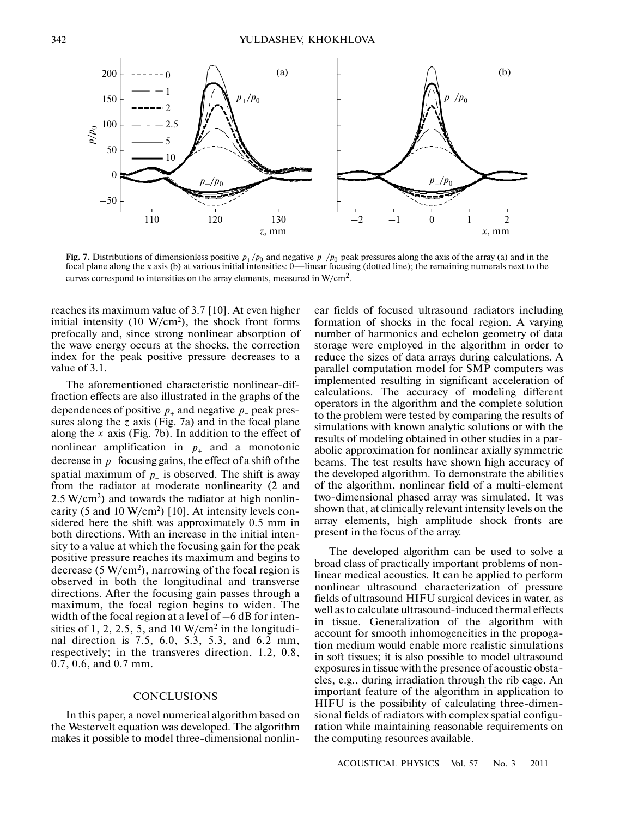

**Fig. 7.** Distributions of dimensionless positive  $p_+/p_0$  and negative  $p_-/p_0$  peak pressures along the axis of the array (a) and in the focal plane along the *x* axis (b) at various initial intensities: 0—linear focusing (dotted line); the remaining numerals next to the curves correspond to intensities on the array elements, measured in  $W/cm^2$ .

reaches its maximum value of 3.7 [10]. At even higher initial intensity  $(10 \text{ W/cm}^2)$ , the shock front forms prefocally and, since strong nonlinear absorption of the wave energy occurs at the shocks, the correction index for the peak positive pressure decreases to a value of 3.1.

The aforementioned characteristic nonlinear-dif fraction effects are also illustrated in the graphs of the dependences of positive  $p_+$  and negative  $p_-$  peak pressures along the  $z$  axis (Fig. 7a) and in the focal plane along the x axis (Fig. 7b). In addition to the effect of nonlinear amplification in  $p_+$  and a monotonic decrease in p\_ focusing gains, the effect of a shift of the spatial maximum of  $p_+$  is observed. The shift is away from the radiator at moderate nonlinearity (2 and  $2.5 \text{ W/cm}^2$ ) and towards the radiator at high nonlinearity (5 and 10 W/cm<sup>2</sup>) [10]. At intensity levels considered here the shift was approximately 0.5 mm in both directions. With an increase in the initial inten sity to a value at which the focusing gain for the peak positive pressure reaches its maximum and begins to decrease  $(5 \text{ W/cm}^2)$ , narrowing of the focal region is observed in both the longitudinal and transverse directions. After the focusing gain passes through a maximum, the focal region begins to widen. The width of the focal region at a level of –6 dB for inten sities of 1, 2, 2.5, 5, and 10  $W/cm<sup>2</sup>$  in the longitudinal direction is 7.5, 6.0, 5.3, 5.3, and 6.2 mm, respectively; in the transveres direction, 1.2, 0.8, 0.7, 0.6, and 0.7 mm.

# **CONCLUSIONS**

In this paper, a novel numerical algorithm based on the Westervelt equation was developed. The algorithm makes it possible to model three-dimensional nonlinear fields of focused ultrasound radiators including formation of shocks in the focal region. A varying number of harmonics and echelon geometry of data storage were employed in the algorithm in order to reduce the sizes of data arrays during calculations. A parallel computation model for SMP computers was implemented resulting in significant acceleration of calculations. The accuracy of modeling different operators in the algorithm and the complete solution to the problem were tested by comparing the results of simulations with known analytic solutions or with the results of modeling obtained in other studies in a par abolic approximation for nonlinear axially symmetric beams. The test results have shown high accuracy of the developed algorithm. To demonstrate the abilities of the algorithm, nonlinear field of a multi-element two-dimensional phased array was simulated. It was shown that, at clinically relevant intensity levels on the array elements, high amplitude shock fronts are present in the focus of the array.

The developed algorithm can be used to solve a broad class of practically important problems of nonlinear medical acoustics. It can be applied to perform nonlinear ultrasound characterization of pressure fields of ultrasound HIFU surgical devices in water, as well as to calculate ultrasound-induced thermal effects in tissue. Generalization of the algorithm with account for smooth inhomogeneities in the propoga tion medium would enable more realistic simulations in soft tissues; it is also possible to model ultrasound exposures in tissue with the presence of acoustic obsta cles, e.g., during irradiation through the rib cage. An important feature of the algorithm in application to HIFU is the possibility of calculating three-dimen sional fields of radiators with complex spatial configu ration while maintaining reasonable requirements on the computing resources available.